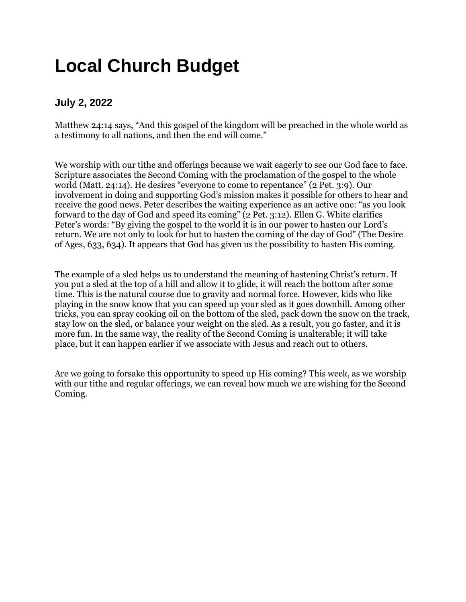### **Local Church Budget**

#### **July 2, 2022**

Matthew 24:14 says, "And this gospel of the kingdom will be preached in the whole world as a testimony to all nations, and then the end will come."

We worship with our tithe and offerings because we wait eagerly to see our God face to face. Scripture associates the Second Coming with the proclamation of the gospel to the whole world (Matt. 24:14). He desires "everyone to come to repentance" (2 Pet. 3:9). Our involvement in doing and supporting God's mission makes it possible for others to hear and receive the good news. Peter describes the waiting experience as an active one: "as you look forward to the day of God and speed its coming" (2 Pet. 3:12). Ellen G. White clarifies Peter's words: "By giving the gospel to the world it is in our power to hasten our Lord's return. We are not only to look for but to hasten the coming of the day of God" (The Desire of Ages, 633, 634). It appears that God has given us the possibility to hasten His coming.

The example of a sled helps us to understand the meaning of hastening Christ's return. If you put a sled at the top of a hill and allow it to glide, it will reach the bottom after some time. This is the natural course due to gravity and normal force. However, kids who like playing in the snow know that you can speed up your sled as it goes downhill. Among other tricks, you can spray cooking oil on the bottom of the sled, pack down the snow on the track, stay low on the sled, or balance your weight on the sled. As a result, you go faster, and it is more fun. In the same way, the reality of the Second Coming is unalterable; it will take place, but it can happen earlier if we associate with Jesus and reach out to others.

Are we going to forsake this opportunity to speed up His coming? This week, as we worship with our tithe and regular offerings, we can reveal how much we are wishing for the Second Coming.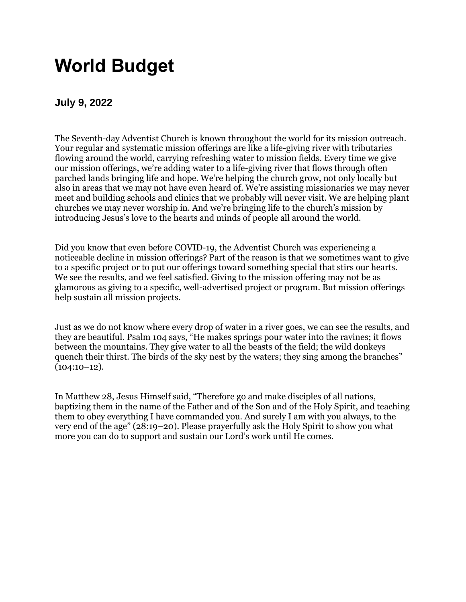### **World Budget**

#### **July 9, 2022**

The Seventh-day Adventist Church is known throughout the world for its mission outreach. Your regular and systematic mission offerings are like a life-giving river with tributaries flowing around the world, carrying refreshing water to mission fields. Every time we give our mission offerings, we're adding water to a life-giving river that flows through often parched lands bringing life and hope. We're helping the church grow, not only locally but also in areas that we may not have even heard of. We're assisting missionaries we may never meet and building schools and clinics that we probably will never visit. We are helping plant churches we may never worship in. And we're bringing life to the church's mission by introducing Jesus's love to the hearts and minds of people all around the world.

Did you know that even before COVID-19, the Adventist Church was experiencing a noticeable decline in mission offerings? Part of the reason is that we sometimes want to give to a specific project or to put our offerings toward something special that stirs our hearts. We see the results, and we feel satisfied. Giving to the mission offering may not be as glamorous as giving to a specific, well-advertised project or program. But mission offerings help sustain all mission projects.

Just as we do not know where every drop of water in a river goes, we can see the results, and they are beautiful. Psalm 104 says, "He makes springs pour water into the ravines; it flows between the mountains. They give water to all the beasts of the field; the wild donkeys quench their thirst. The birds of the sky nest by the waters; they sing among the branches"  $(104:10-12).$ 

In Matthew 28, Jesus Himself said, "Therefore go and make disciples of all nations, baptizing them in the name of the Father and of the Son and of the Holy Spirit, and teaching them to obey everything I have commanded you. And surely I am with you always, to the very end of the age" (28:19–20). Please prayerfully ask the Holy Spirit to show you what more you can do to support and sustain our Lord's work until He comes.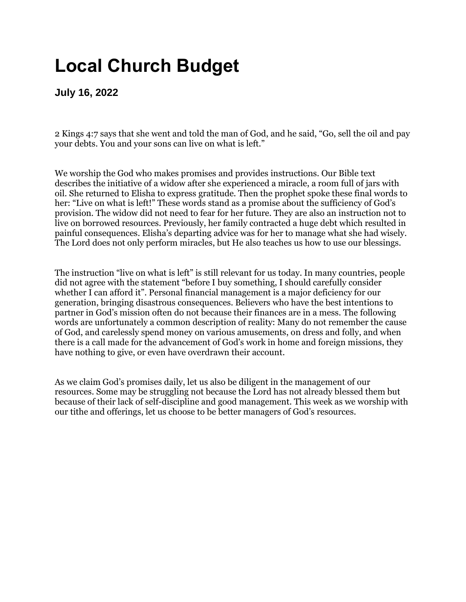# **Local Church Budget**

**July 16, 2022**

2 Kings 4:7 says that she went and told the man of God, and he said, "Go, sell the oil and pay your debts. You and your sons can live on what is left."

We worship the God who makes promises and provides instructions. Our Bible text describes the initiative of a widow after she experienced a miracle, a room full of jars with oil. She returned to Elisha to express gratitude. Then the prophet spoke these final words to her: "Live on what is left!" These words stand as a promise about the sufficiency of God's provision. The widow did not need to fear for her future. They are also an instruction not to live on borrowed resources. Previously, her family contracted a huge debt which resulted in painful consequences. Elisha's departing advice was for her to manage what she had wisely. The Lord does not only perform miracles, but He also teaches us how to use our blessings.

The instruction "live on what is left" is still relevant for us today. In many countries, people did not agree with the statement "before I buy something, I should carefully consider whether I can afford it". Personal financial management is a major deficiency for our generation, bringing disastrous consequences. Believers who have the best intentions to partner in God's mission often do not because their finances are in a mess. The following words are unfortunately a common description of reality: Many do not remember the cause of God, and carelessly spend money on various amusements, on dress and folly, and when there is a call made for the advancement of God's work in home and foreign missions, they have nothing to give, or even have overdrawn their account.

As we claim God's promises daily, let us also be diligent in the management of our resources. Some may be struggling not because the Lord has not already blessed them but because of their lack of self-discipline and good management. This week as we worship with our tithe and offerings, let us choose to be better managers of God's resources.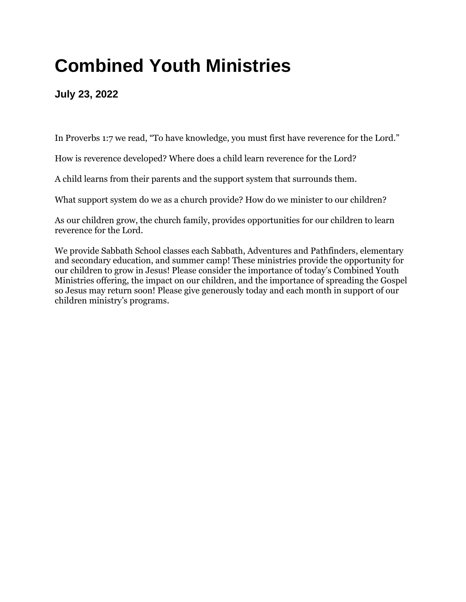# **Combined Youth Ministries**

**July 23, 2022**

In Proverbs 1:7 we read, "To have knowledge, you must first have reverence for the Lord."

How is reverence developed? Where does a child learn reverence for the Lord?

A child learns from their parents and the support system that surrounds them.

What support system do we as a church provide? How do we minister to our children?

As our children grow, the church family, provides opportunities for our children to learn reverence for the Lord.

We provide Sabbath School classes each Sabbath, Adventures and Pathfinders, elementary and secondary education, and summer camp! These ministries provide the opportunity for our children to grow in Jesus! Please consider the importance of today's Combined Youth Ministries offering, the impact on our children, and the importance of spreading the Gospel so Jesus may return soon! Please give generously today and each month in support of our children ministry's programs.